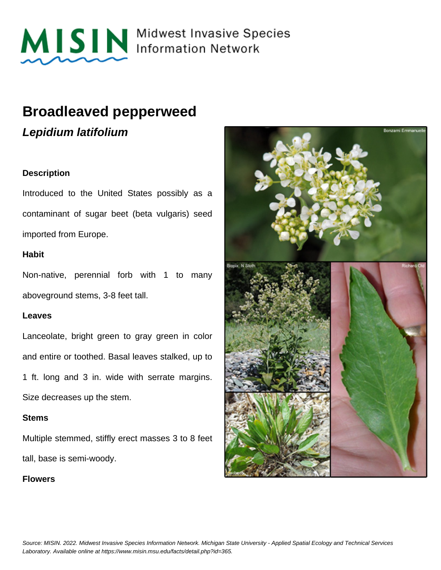

MISIN Midwest Invasive Species

## **Broadleaved pepperweed**

**Lepidium latifolium**

### **Description**

Introduced to the United States possibly as a contaminant of sugar beet (beta vulgaris) seed imported from Europe.

#### **Habit**

Non-native, perennial forb with 1 to many aboveground stems, 3-8 feet tall.

#### **Leaves**

Lanceolate, bright green to gray green in color and entire or toothed. Basal leaves stalked, up to 1 ft. long and 3 in. wide with serrate margins. Size decreases up the stem.

#### **Stems**

Multiple stemmed, stiffly erect masses 3 to 8 feet tall, base is semi-woody.

#### **Flowers**

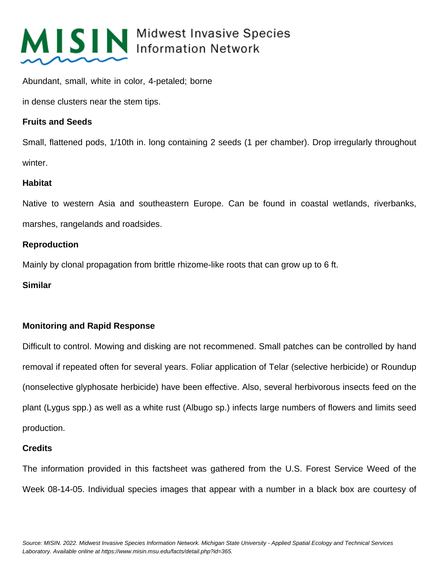

# MISIN Midwest Invasive Species

Abundant, small, white in color, 4-petaled; borne

in dense clusters near the stem tips.

### **Fruits and Seeds**

Small, flattened pods, 1/10th in. long containing 2 seeds (1 per chamber). Drop irregularly throughout winter.

### **Habitat**

Native to western Asia and southeastern Europe. Can be found in coastal wetlands, riverbanks, marshes, rangelands and roadsides.

### **Reproduction**

Mainly by clonal propagation from brittle rhizome-like roots that can grow up to 6 ft.

#### **Similar**

### **Monitoring and Rapid Response**

Difficult to control. Mowing and disking are not recommened. Small patches can be controlled by hand removal if repeated often for several years. Foliar application of Telar (selective herbicide) or Roundup (nonselective glyphosate herbicide) have been effective. Also, several herbivorous insects feed on the plant (Lygus spp.) as well as a white rust (Albugo sp.) infects large numbers of flowers and limits seed production.

#### **Credits**

The information provided in this factsheet was gathered from the U.S. Forest Service Weed of the Week 08-14-05. Individual species images that appear with a number in a black box are courtesy of